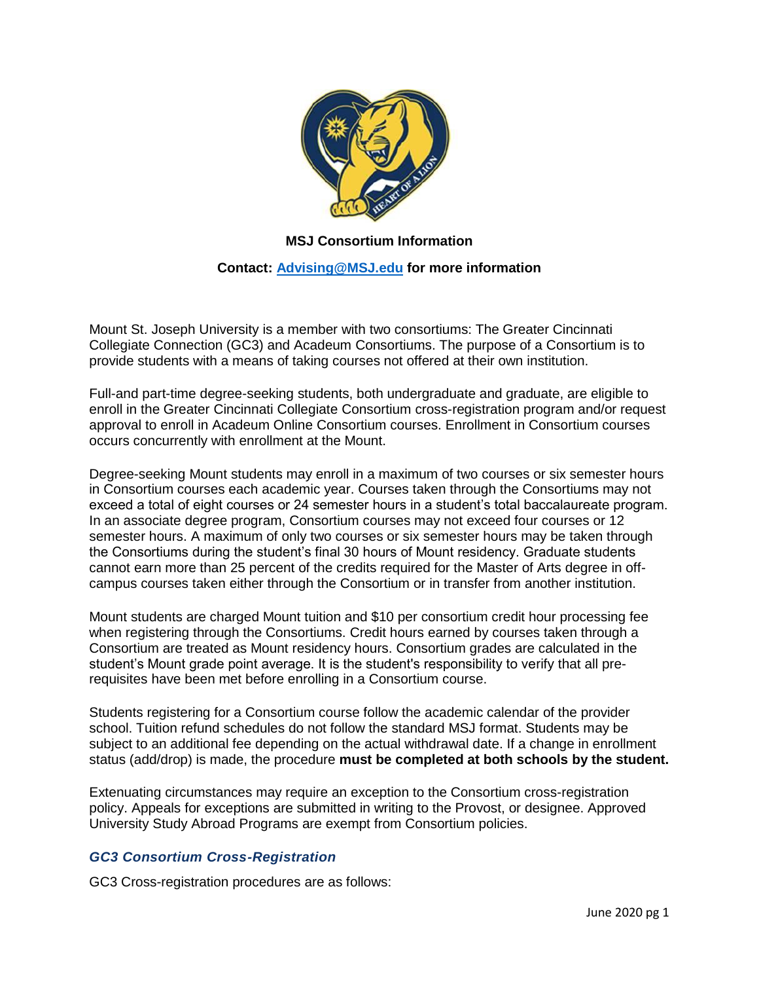

## **MSJ Consortium Information**

## **Contact: [Advising@MSJ.edu](mailto:Advising@MSJ.edu) for more information**

Mount St. Joseph University is a member with two consortiums: The Greater Cincinnati Collegiate Connection (GC3) and Acadeum Consortiums. The purpose of a Consortium is to provide students with a means of taking courses not offered at their own institution.

Full-and part-time degree-seeking students, both undergraduate and graduate, are eligible to enroll in the Greater Cincinnati Collegiate Consortium cross-registration program and/or request approval to enroll in Acadeum Online Consortium courses. Enrollment in Consortium courses occurs concurrently with enrollment at the Mount.

Degree-seeking Mount students may enroll in a maximum of two courses or six semester hours in Consortium courses each academic year. Courses taken through the Consortiums may not exceed a total of eight courses or 24 semester hours in a student's total baccalaureate program. In an associate degree program, Consortium courses may not exceed four courses or 12 semester hours. A maximum of only two courses or six semester hours may be taken through the Consortiums during the student's final 30 hours of Mount residency. Graduate students cannot earn more than 25 percent of the credits required for the Master of Arts degree in offcampus courses taken either through the Consortium or in transfer from another institution.

Mount students are charged Mount tuition and \$10 per consortium credit hour processing fee when registering through the Consortiums. Credit hours earned by courses taken through a Consortium are treated as Mount residency hours. Consortium grades are calculated in the student's Mount grade point average. It is the student's responsibility to verify that all prerequisites have been met before enrolling in a Consortium course.

Students registering for a Consortium course follow the academic calendar of the provider school. Tuition refund schedules do not follow the standard MSJ format. Students may be subject to an additional fee depending on the actual withdrawal date. If a change in enrollment status (add/drop) is made, the procedure **must be completed at both schools by the student.**

Extenuating circumstances may require an exception to the Consortium cross-registration policy. Appeals for exceptions are submitted in writing to the Provost, or designee. Approved University Study Abroad Programs are exempt from Consortium policies.

## *GC3 Consortium Cross-Registration*

GC3 Cross-registration procedures are as follows: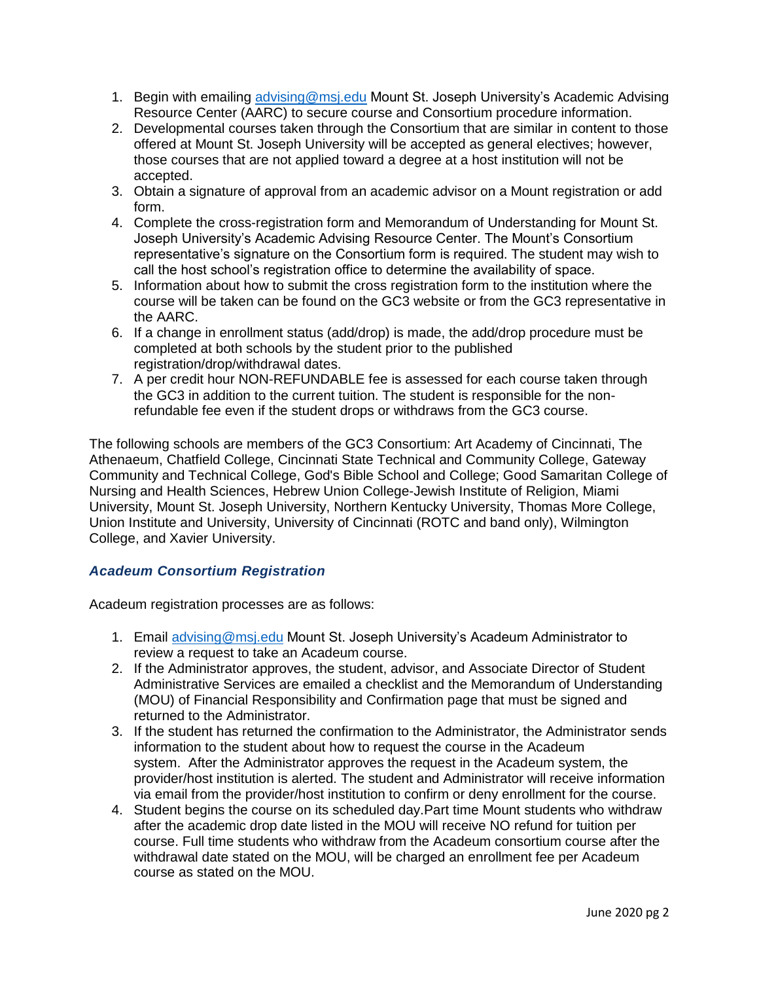- 1. Begin with emailing [advising@msj.edu](mailto:advising@msj.edu) Mount St. Joseph University's Academic Advising Resource Center (AARC) to secure course and Consortium procedure information.
- 2. Developmental courses taken through the Consortium that are similar in content to those offered at Mount St. Joseph University will be accepted as general electives; however, those courses that are not applied toward a degree at a host institution will not be accepted.
- 3. Obtain a signature of approval from an academic advisor on a Mount registration or add form.
- 4. Complete the cross-registration form and Memorandum of Understanding for Mount St. Joseph University's Academic Advising Resource Center. The Mount's Consortium representative's signature on the Consortium form is required. The student may wish to call the host school's registration office to determine the availability of space.
- 5. Information about how to submit the cross registration form to the institution where the course will be taken can be found on the GC3 website or from the GC3 representative in the AARC.
- 6. If a change in enrollment status (add/drop) is made, the add/drop procedure must be completed at both schools by the student prior to the published registration/drop/withdrawal dates.
- 7. A per credit hour NON-REFUNDABLE fee is assessed for each course taken through the GC3 in addition to the current tuition. The student is responsible for the nonrefundable fee even if the student drops or withdraws from the GC3 course.

The following schools are members of the GC3 Consortium: Art Academy of Cincinnati, The Athenaeum, Chatfield College, Cincinnati State Technical and Community College, Gateway Community and Technical College, God's Bible School and College; Good Samaritan College of Nursing and Health Sciences, Hebrew Union College-Jewish Institute of Religion, Miami University, Mount St. Joseph University, Northern Kentucky University, Thomas More College, Union Institute and University, University of Cincinnati (ROTC and band only), Wilmington College, and Xavier University.

## *Acadeum Consortium Registration*

Acadeum registration processes are as follows:

- 1. Email [advising@msj.edu](mailto:advising@msj.edu) Mount St. Joseph University's Acadeum Administrator to review a request to take an Acadeum course.
- 2. If the Administrator approves, the student, advisor, and Associate Director of Student Administrative Services are emailed a checklist and the Memorandum of Understanding (MOU) of Financial Responsibility and Confirmation page that must be signed and returned to the Administrator.
- 3. If the student has returned the confirmation to the Administrator, the Administrator sends information to the student about how to request the course in the Acadeum system. After the Administrator approves the request in the Acadeum system, the provider/host institution is alerted. The student and Administrator will receive information via email from the provider/host institution to confirm or deny enrollment for the course.
- 4. Student begins the course on its scheduled day.Part time Mount students who withdraw after the academic drop date listed in the MOU will receive NO refund for tuition per course. Full time students who withdraw from the Acadeum consortium course after the withdrawal date stated on the MOU, will be charged an enrollment fee per Acadeum course as stated on the MOU.